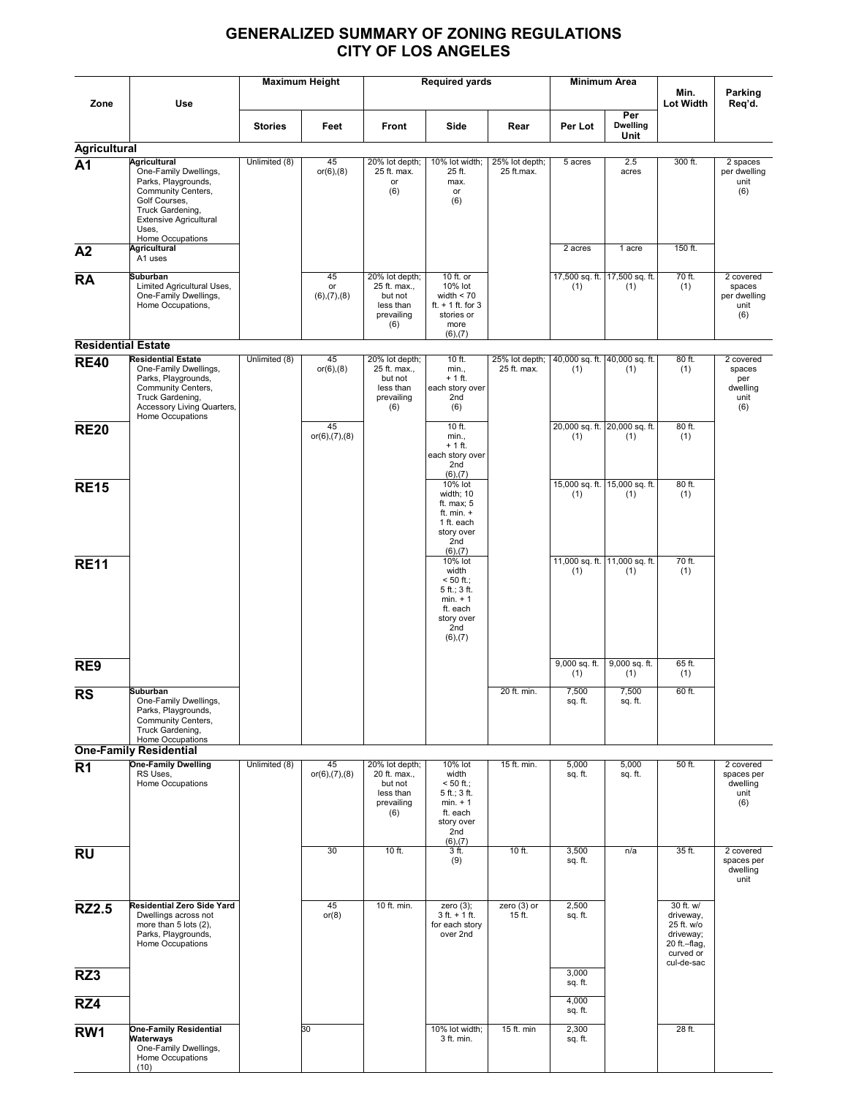## GENERALIZED SUMMARY OF ZONING REGULATIONS CITY OF LOS ANGELES

|                           |                                                                                                                                                                                              |                | <b>Maximum Height</b>         |                                                                             | <b>Required yards</b>                                                                                           |                               |                      | Minimum Area                         |                                                                                |                                                       |
|---------------------------|----------------------------------------------------------------------------------------------------------------------------------------------------------------------------------------------|----------------|-------------------------------|-----------------------------------------------------------------------------|-----------------------------------------------------------------------------------------------------------------|-------------------------------|----------------------|--------------------------------------|--------------------------------------------------------------------------------|-------------------------------------------------------|
| Zone                      | Use                                                                                                                                                                                          |                |                               |                                                                             |                                                                                                                 |                               |                      |                                      | Min.<br>Lot Width                                                              | Parking<br>Req'd.                                     |
|                           |                                                                                                                                                                                              | <b>Stories</b> | Feet                          | Front                                                                       | Side                                                                                                            | Rear                          | Per Lot              | Per<br><b>Dwelling</b><br>Unit       |                                                                                |                                                       |
| <b>Agricultural</b>       |                                                                                                                                                                                              |                |                               |                                                                             |                                                                                                                 |                               |                      |                                      |                                                                                |                                                       |
| A <sub>1</sub>            | <b>Agricultural</b><br>One-Family Dwellings,<br>Parks, Playgrounds,<br>Community Centers,<br>Golf Courses,<br>Truck Gardening,<br><b>Extensive Agricultural</b><br>Uses.<br>Home Occupations | Unlimited (8)  | 45<br>$or(6)$ , $(8)$         | 20% lot depth;<br>25 ft. max.<br>or<br>(6)                                  | 10% lot width;<br>25 ft.<br>max.<br>or<br>(6)                                                                   | 25% lot depth;<br>25 ft.max.  | 5 acres              | 2.5<br>acres                         | 300 ft.                                                                        | 2 spaces<br>per dwelling<br>unit<br>(6)               |
| A2                        | <b>Agricultural</b><br>A1 uses                                                                                                                                                               |                |                               |                                                                             |                                                                                                                 |                               | 2 acres              | 1 acre                               | 150 ft.                                                                        |                                                       |
| <b>RA</b>                 | <b>Suburban</b><br>Limited Agricultural Uses,<br>One-Family Dwellings,<br>Home Occupations,                                                                                                  |                | 45<br>or<br>(6), (7), (8)     | 20% lot depth;<br>25 ft. max.,<br>but not<br>less than<br>prevailing<br>(6) | 10 ft. or<br>10% lot<br>width $< 70$<br>ft. $+1$ ft. for 3<br>stories or<br>more<br>$(6)$ , $(7)$               |                               | (1)                  | 17,500 sq. ft. 17,500 sq. ft.<br>(1) | 70 ft.<br>(1)                                                                  | 2 covered<br>spaces<br>per dwelling<br>unit<br>(6)    |
| <b>Residential Estate</b> |                                                                                                                                                                                              |                |                               |                                                                             |                                                                                                                 |                               |                      |                                      |                                                                                |                                                       |
| <b>RE40</b>               | <b>Residential Estate</b><br>One-Family Dwellings,<br>Parks, Playgrounds,<br>Community Centers,<br>Truck Gardening,<br>Accessory Living Quarters,<br>Home Occupations                        | Unlimited (8)  | 45<br>$or(6)$ , $(8)$         | 20% lot depth;<br>25 ft. max.,<br>but not<br>less than<br>prevailing<br>(6) | 10 ft.<br>min.,<br>+ 1 ft.<br>each story over<br>2nd<br>(6)                                                     | 25% lot depth;<br>25 ft. max. | (1)                  | 40,000 sq. ft. 40,000 sq. ft.<br>(1) | 80 ft.<br>(1)                                                                  | 2 covered<br>spaces<br>per<br>dwelling<br>unit<br>(6) |
| <b>RE20</b>               |                                                                                                                                                                                              |                | 45<br>$or(6)$ , $(7)$ , $(8)$ |                                                                             | 10 ft.<br>min.,<br>$+1$ ft.<br>each story over<br>2nd<br>$(6)$ , $(7)$                                          |                               | (1)                  | 20,000 sq. ft. 20,000 sq. ft.<br>(1) | 80 ft.<br>(1)                                                                  |                                                       |
| <b>RE15</b>               |                                                                                                                                                                                              |                |                               |                                                                             | 10% lot<br>width; 10<br>ft. max; 5<br>ft. min. $+$<br>1 ft. each<br>story over<br>2nd<br>$(6)$ , $(7)$          |                               | (1)                  | 15,000 sq. ft. 15,000 sq. ft.<br>(1) | 80 ft.<br>(1)                                                                  |                                                       |
| <b>RE11</b>               |                                                                                                                                                                                              |                |                               |                                                                             | 10% lot<br>width<br>$< 50$ ft.;<br>5 ft.; 3 ft.<br>$min. + 1$<br>ft. each<br>story over<br>2nd<br>$(6)$ , $(7)$ |                               | (1)                  | 11,000 sq. ft. 11,000 sq. ft.<br>(1) | 70 ft.<br>(1)                                                                  |                                                       |
| RE9                       |                                                                                                                                                                                              |                |                               |                                                                             |                                                                                                                 |                               | 9,000 sq. ft.<br>(1) | 9,000 sq. ft.<br>(1)                 | 65 ft.<br>(1)                                                                  |                                                       |
| <b>RS</b>                 | Suburban<br>One-Family Dwellings,<br>Parks, Playgrounds,<br>Community Centers,<br>Truck Gardening,<br>Home Occupations                                                                       |                |                               |                                                                             |                                                                                                                 | 20 ft. min.                   | 7,500<br>sq. ft.     | 7,500<br>sq. ft.                     | 60 ft.                                                                         |                                                       |
|                           | <b>One-Family Residential</b><br><b>One-Family Dwelling</b>                                                                                                                                  | Unlimited (8)  | 45                            | 20% lot depth;                                                              | 10% lot                                                                                                         | 15 ft. min.                   | 5,000                | 5,000                                | 50 ft.                                                                         | 2 covered                                             |
| R <sub>1</sub>            | RS Uses,<br>Home Occupations                                                                                                                                                                 |                | $or(6)$ , $(7)$ , $(8)$       | 20 ft. max.,<br>but not<br>less than<br>prevailing<br>(6)                   | width<br>$< 50$ ft.;<br>5 ft.; 3 ft.<br>$min. + 1$<br>ft. each<br>story over<br>2nd<br>(6),(7)                  |                               | sq. ft.              | sq. ft.                              |                                                                                | spaces per<br>dwelling<br>unit<br>(6)                 |
| <b>RU</b>                 |                                                                                                                                                                                              |                | 30                            | $10$ ft.                                                                    | 3 ft.<br>(9)                                                                                                    | 10 ft.                        | 3,500<br>sq. ft.     | n/a                                  | 35 ft.                                                                         | 2 covered<br>spaces per<br>dwelling<br>unit           |
| <b>RZ2.5</b>              | Residential Zero Side Yard<br>Dwellings across not<br>more than 5 lots (2),<br>Parks, Playgrounds,<br>Home Occupations                                                                       |                | 45<br>or(8)                   | 10 ft. min.                                                                 | zero $(3)$ ;<br>$3 ft. + 1 ft.$<br>for each story<br>over 2nd                                                   | zero $(3)$ or<br>15 ft.       | 2,500<br>sq. ft.     |                                      | 30 ft. w/<br>driveway,<br>25 ft. w/o<br>driveway;<br>20 ft.-flag,<br>curved or |                                                       |
| RZ3                       |                                                                                                                                                                                              |                |                               |                                                                             |                                                                                                                 |                               | 3,000<br>sq. ft.     |                                      | cul-de-sac                                                                     |                                                       |
| RZ4                       |                                                                                                                                                                                              |                |                               |                                                                             |                                                                                                                 |                               | 4,000<br>sq. ft.     |                                      |                                                                                |                                                       |
| RW1                       | <b>One-Family Residential</b><br>Waterways<br>One-Family Dwellings,<br>Home Occupations<br>(10)                                                                                              |                | 30                            |                                                                             | 10% lot width;<br>3 ft. min.                                                                                    | 15 ft. min                    | 2,300<br>sq. ft.     |                                      | 28 ft.                                                                         |                                                       |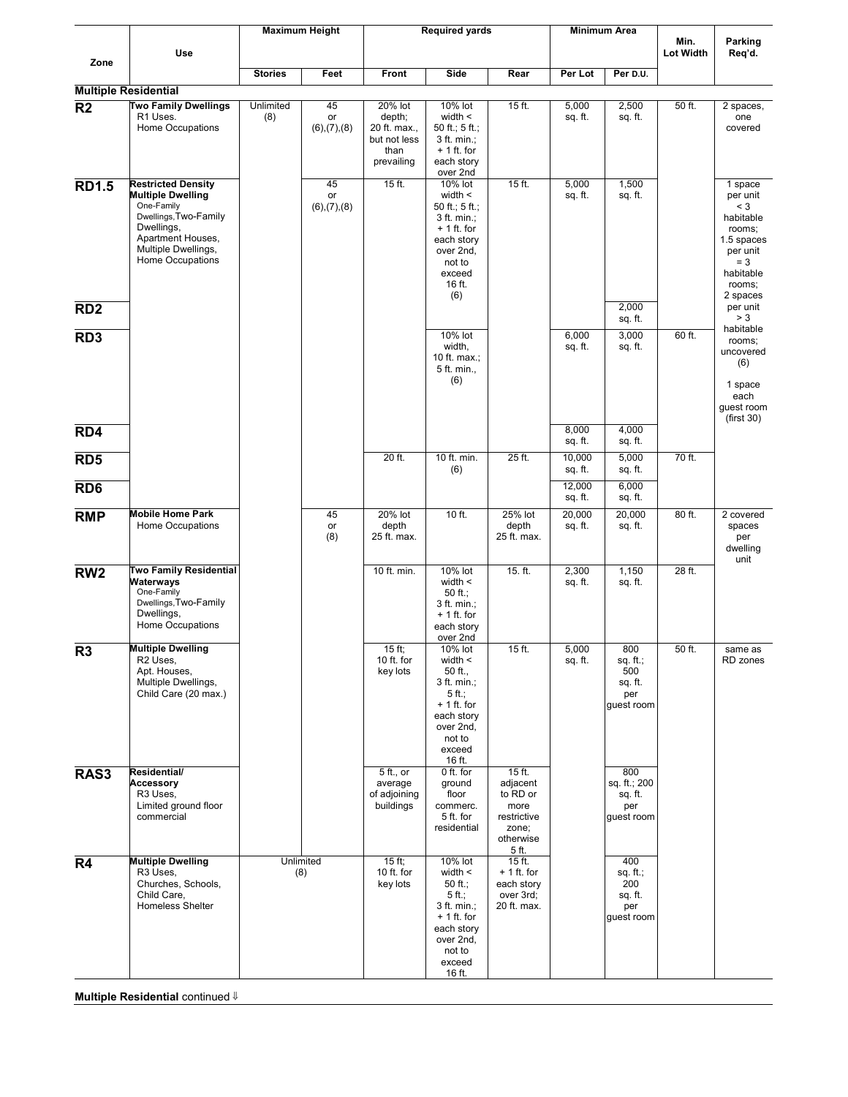|                 |                                                                                                                                                                            |                  | <b>Maximum Height</b>             |                                                                         | <b>Required yards</b>                                                                                                                      |                                                                                        |                   | Minimum Area                                           |                          |                                                                                                                           |
|-----------------|----------------------------------------------------------------------------------------------------------------------------------------------------------------------------|------------------|-----------------------------------|-------------------------------------------------------------------------|--------------------------------------------------------------------------------------------------------------------------------------------|----------------------------------------------------------------------------------------|-------------------|--------------------------------------------------------|--------------------------|---------------------------------------------------------------------------------------------------------------------------|
|                 | Use                                                                                                                                                                        |                  |                                   |                                                                         |                                                                                                                                            |                                                                                        |                   |                                                        | Min.<br><b>Lot Width</b> | Parking<br>Req'd.                                                                                                         |
| Zone            |                                                                                                                                                                            | <b>Stories</b>   | Feet                              | Front                                                                   | Side                                                                                                                                       | Rear                                                                                   | Per Lot           | Per D.U.                                               |                          |                                                                                                                           |
|                 | <b>Multiple Residential</b>                                                                                                                                                |                  |                                   |                                                                         |                                                                                                                                            |                                                                                        |                   |                                                        |                          |                                                                                                                           |
| R <sub>2</sub>  | <b>Two Family Dwellings</b><br>R1 Uses.<br>Home Occupations                                                                                                                | Unlimited<br>(8) | 45<br>or<br>$(6)$ , $(7)$ , $(8)$ | 20% lot<br>depth;<br>20 ft. max.,<br>but not less<br>than<br>prevailing | 10% lot<br>width $\leq$<br>50 ft.; $5$ ft.;<br>3 ft. min.;<br>$+1$ ft. for<br>each story<br>over 2nd                                       | 15 ft.                                                                                 | 5,000<br>sq. ft.  | 2,500<br>sq. ft.                                       | 50 ft.                   | 2 spaces.<br>one<br>covered                                                                                               |
| <b>RD1.5</b>    | <b>Restricted Density</b><br><b>Multiple Dwelling</b><br>One-Family<br>Dwellings, Two-Family<br>Dwellings,<br>Apartment Houses,<br>Multiple Dwellings,<br>Home Occupations |                  | 45<br>or<br>$(6)$ , $(7)$ , $(8)$ | $15$ ft.                                                                | 10% lot<br>width $\leq$<br>50 ft.; 5 ft.;<br>$3$ ft. min.;<br>$+1$ ft. for<br>each story<br>over 2nd,<br>not to<br>exceed<br>16 ft.<br>(6) | $15$ ft.                                                                               | 5,000<br>sq. ft.  | 1,500<br>sq. ft.                                       |                          | 1 space<br>per unit<br>$<$ 3<br>habitable<br>rooms;<br>1.5 spaces<br>per unit<br>$= 3$<br>habitable<br>rooms;<br>2 spaces |
| RD <sub>2</sub> |                                                                                                                                                                            |                  |                                   |                                                                         |                                                                                                                                            |                                                                                        |                   | 2,000<br>sq. ft.                                       |                          | per unit<br>> 3                                                                                                           |
| RD <sub>3</sub> |                                                                                                                                                                            |                  |                                   |                                                                         | 10% lot<br>width,<br>10 ft. max.;<br>5 ft. min.,<br>(6)                                                                                    |                                                                                        | 6,000<br>sq. ft.  | 3,000<br>sq. ft.                                       | 60 ft.                   | habitable<br>rooms;<br>uncovered<br>(6)<br>1 space<br>each<br>guest room<br>(first 30)                                    |
| RD4             |                                                                                                                                                                            |                  |                                   |                                                                         |                                                                                                                                            |                                                                                        | 8,000<br>sq. ft.  | 4,000<br>sq. ft.                                       |                          |                                                                                                                           |
| RD <sub>5</sub> |                                                                                                                                                                            |                  |                                   | 20 ft.                                                                  | 10 ft. min.<br>(6)                                                                                                                         | 25 ft.                                                                                 | 10,000<br>sq. ft. | 5,000<br>sq. ft.                                       | 70 ft.                   |                                                                                                                           |
| RD <sub>6</sub> |                                                                                                                                                                            |                  |                                   |                                                                         |                                                                                                                                            |                                                                                        | 12,000<br>sq. ft. | 6,000<br>sq. ft.                                       |                          |                                                                                                                           |
| <b>RMP</b>      | <b>Mobile Home Park</b><br>Home Occupations                                                                                                                                |                  | 45<br>or<br>(8)                   | 20% lot<br>depth<br>25 ft. max.                                         | 10 ft.                                                                                                                                     | 25% lot<br>depth<br>25 ft. max.                                                        | 20,000<br>sq. ft. | 20,000<br>sq. ft.                                      | 80 ft.                   | 2 covered<br>spaces<br>per<br>dwelling<br>unit                                                                            |
| RW <sub>2</sub> | <b>Two Family Residential</b><br>Waterways<br>One-Family<br>Dwellings, Two-Family<br>Dwellings,<br>Home Occupations                                                        |                  |                                   | 10 ft. min.                                                             | 10% lot<br>width $\leq$<br>50 $ft$ ;<br>$3$ ft. min.;<br>$+1$ ft. for<br>each story<br>over 2nd                                            | 15. ft.                                                                                | 2,300<br>sq. ft.  | 1,150<br>sq. ft.                                       | 28 ft.                   |                                                                                                                           |
| R <sub>3</sub>  | Multiple Dwelling<br>R <sub>2</sub> Uses,<br>Apt. Houses,<br>Multiple Dwellings,<br>Child Care (20 max.)                                                                   |                  |                                   | $15$ ft;<br>10 ft. for<br>key lots                                      | 10% lot<br>width $\leq$<br>50 ft.,<br>$3$ ft. min.;<br>$5$ ft.;<br>$+1$ ft. for<br>each story<br>over 2nd,<br>not to<br>exceed<br>16 ft.   | 15 ft.                                                                                 | 5,000<br>sq. ft.  | 800<br>sq. ft.;<br>500<br>sq. ft.<br>per<br>guest room | 50 ft.                   | same as<br>RD zones                                                                                                       |
| RAS3            | Residential/<br><b>Accessory</b><br>R <sub>3</sub> Uses.<br>Limited ground floor<br>commercial                                                                             |                  |                                   | 5 ft., or<br>average<br>of adjoining<br>buildings                       | 0 ft. for<br>ground<br>floor<br>commerc.<br>5 ft. for<br>residential                                                                       | $15$ ft.<br>adjacent<br>to RD or<br>more<br>restrictive<br>zone;<br>otherwise<br>5 ft. |                   | 800<br>sq. ft.; 200<br>sq. ft.<br>per<br>guest room    |                          |                                                                                                                           |
| R4              | <b>Multiple Dwelling</b><br>R <sub>3</sub> Uses,<br>Churches, Schools,<br>Child Care,<br>Homeless Shelter                                                                  |                  | Unlimited<br>(8)                  | $15$ ft;<br>10 ft. for<br>key lots                                      | 10% lot<br>width $\leq$<br>50 $ft$ ;<br>$5$ ft.;<br>$3$ ft. min.;<br>$+1$ ft. for<br>each story<br>over 2nd,<br>not to<br>exceed<br>16 ft. | $15$ ft.<br>$+1$ ft. for<br>each story<br>over 3rd;<br>20 ft. max.                     |                   | 400<br>sq. ft.;<br>200<br>sq. ft.<br>per<br>guest room |                          |                                                                                                                           |

Multiple Residential continued  $\Downarrow$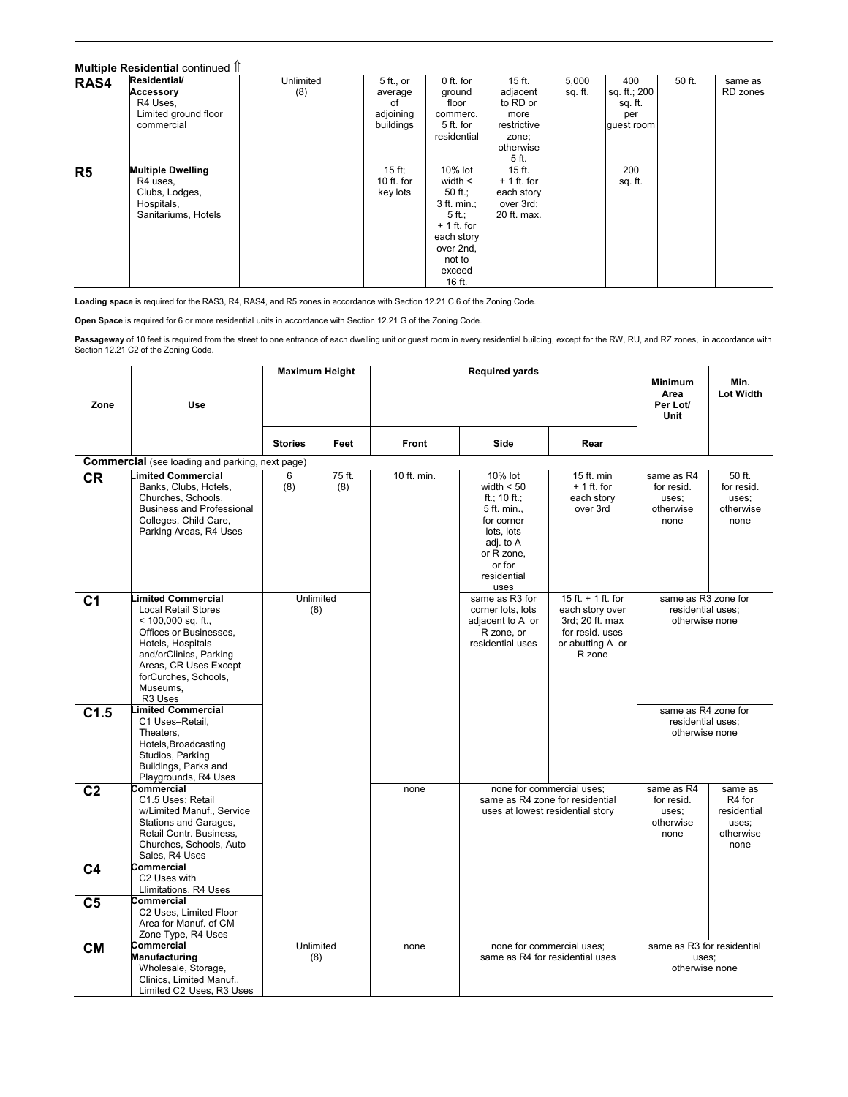## Multiple Residential continued  $\mathbb{\hat{T}}$

| RAS4           | Residential/             | Unlimited | 5 ft., or  | 0 ft. for     | $15$ ft.     | 5,000   | 400          | 50 ft. | same as  |
|----------------|--------------------------|-----------|------------|---------------|--------------|---------|--------------|--------|----------|
|                | Accessory                | (8)       | average    | ground        | adjacent     | sq. ft. | sq. ft.; 200 |        | RD zones |
|                | R4 Uses.                 |           | 0t         | floor         | to RD or     |         | sq. ft.      |        |          |
|                | Limited ground floor     |           | adjoining  | commerc.      | more         |         | per          |        |          |
|                | commercial               |           | buildings  | 5 ft. for     | restrictive  |         | quest room   |        |          |
|                |                          |           |            | residential   | zone;        |         |              |        |          |
|                |                          |           |            |               | otherwise    |         |              |        |          |
|                |                          |           |            |               | 5 ft.        |         |              |        |          |
| R <sub>5</sub> | <b>Multiple Dwelling</b> |           | $15$ ft;   | 10% lot       | $15$ ft.     |         | 200          |        |          |
|                | R4 uses,                 |           | 10 ft. for | width $\leq$  | $+1$ ft. for |         | sq. ft.      |        |          |
|                | Clubs, Lodges,           |           | key lots   | 50 ft.;       | each story   |         |              |        |          |
|                | Hospitals,               |           |            | $3$ ft. min.; | over 3rd;    |         |              |        |          |
|                | Sanitariums, Hotels      |           |            | $5ft$ .       | 20 ft. max.  |         |              |        |          |
|                |                          |           |            | $+1$ ft. for  |              |         |              |        |          |
|                |                          |           |            | each story    |              |         |              |        |          |
|                |                          |           |            | over 2nd,     |              |         |              |        |          |
|                |                          |           |            | not to        |              |         |              |        |          |
|                |                          |           |            | exceed        |              |         |              |        |          |
|                |                          |           |            | 16 ft.        |              |         |              |        |          |

I

Loading space is required for the RAS3, R4, RAS4, and R5 zones in accordance with Section 12.21 C 6 of the Zoning Code.

Open Space is required for 6 or more residential units in accordance with Section 12.21 G of the Zoning Code.

**Passageway** of 10 feet is required from the street to one entrance of each dwelling unit or guest room in every residential building, except for the RW, RU, and RZ zones, in accordance with<br>Section 12.21 C2 of the Zoning

| Zone           | Use                                                                                                                                                                                                                                         | <b>Maximum Height</b> |               |              | <b>Required yards</b>                                                                                                                          |                                                                                                             | <b>Minimum</b><br>Area<br>Per Lot/<br>Unit                 | Min.<br><b>Lot Width</b>                                       |
|----------------|---------------------------------------------------------------------------------------------------------------------------------------------------------------------------------------------------------------------------------------------|-----------------------|---------------|--------------|------------------------------------------------------------------------------------------------------------------------------------------------|-------------------------------------------------------------------------------------------------------------|------------------------------------------------------------|----------------------------------------------------------------|
|                |                                                                                                                                                                                                                                             | <b>Stories</b>        | Feet          | <b>Front</b> | Side                                                                                                                                           | Rear                                                                                                        |                                                            |                                                                |
|                | <b>Commercial</b> (see loading and parking, next page)                                                                                                                                                                                      |                       |               |              |                                                                                                                                                |                                                                                                             |                                                            |                                                                |
| <b>CR</b>      | <b>.imited Commercial</b><br>Banks, Clubs, Hotels,<br>Churches, Schools,<br><b>Business and Professional</b><br>Colleges, Child Care,<br>Parking Areas, R4 Uses                                                                             | 6<br>(8)              | 75 ft.<br>(8) | 10 ft. min.  | 10% lot<br>width $< 50$<br>ft.; 10 ft.;<br>5 ft. min.,<br>for corner<br>lots, lots<br>adj. to A<br>or R zone,<br>or for<br>residential<br>uses | 15 ft. min<br>$+1$ ft. for<br>each story<br>over 3rd                                                        | same as R4<br>for resid.<br>uses;<br>otherwise<br>none     | 50 ft.<br>for resid.<br>uses;<br>otherwise<br>none             |
| C <sub>1</sub> | <b>imited Commercial</b><br><b>Local Retail Stores</b><br>$<$ 100,000 sq. ft.,<br>Offices or Businesses.<br>Hotels, Hospitals<br>and/orClinics, Parking<br>Areas, CR Uses Except<br>forCurches, Schools,<br>Museums.<br>R <sub>3</sub> Uses | (8)                   | Unlimited     |              | same as R3 for<br>corner lots, lots<br>adjacent to A or<br>R zone, or<br>residential uses                                                      | 15 ft. $+$ 1 ft. for<br>each story over<br>3rd; 20 ft. max<br>for resid, uses<br>or abutting A or<br>R zone | same as R3 zone for<br>residential uses;<br>otherwise none |                                                                |
| C1.5           | imited Commercial<br>C1 Uses-Retail,<br>Theaters,<br>Hotels, Broadcasting<br>Studios, Parking<br>Buildings, Parks and<br>Playgrounds, R4 Uses                                                                                               |                       |               |              |                                                                                                                                                |                                                                                                             | same as R4 zone for<br>residential uses;<br>otherwise none |                                                                |
| C <sub>2</sub> | Commercial<br>C1.5 Uses; Retail<br>w/Limited Manuf., Service<br>Stations and Garages,<br>Retail Contr. Business,<br>Churches, Schools, Auto<br>Sales, R4 Uses                                                                               |                       |               | none         |                                                                                                                                                | none for commercial uses;<br>same as R4 zone for residential<br>uses at lowest residential story            | same as R4<br>for resid.<br>uses:<br>otherwise<br>none     | same as<br>R4 for<br>residential<br>uses:<br>otherwise<br>none |
| C <sub>4</sub> | Commercial<br>C2 Uses with<br>Llimitations, R4 Uses                                                                                                                                                                                         |                       |               |              |                                                                                                                                                |                                                                                                             |                                                            |                                                                |
| C <sub>5</sub> | Commercial<br>C2 Uses, Limited Floor<br>Area for Manuf. of CM<br>Zone Type, R4 Uses                                                                                                                                                         |                       |               |              |                                                                                                                                                |                                                                                                             |                                                            |                                                                |
| <b>CM</b>      | Commercial<br><b>Manufacturing</b><br>Wholesale, Storage,<br>Clinics, Limited Manuf.,<br>Limited C2 Uses, R3 Uses                                                                                                                           | Unlimited<br>(8)      |               | none         |                                                                                                                                                | none for commercial uses;<br>same as R4 for residential uses                                                | same as R3 for residential<br>uses:<br>otherwise none      |                                                                |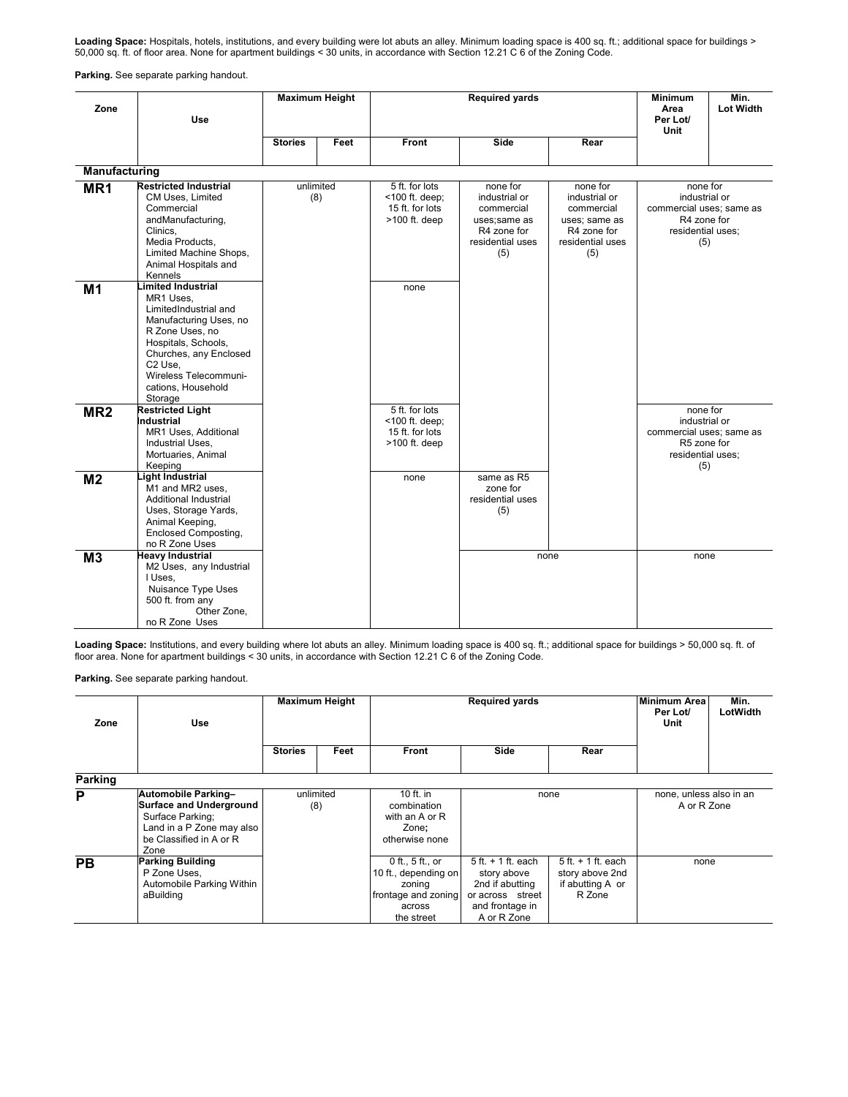Loading Space: Hospitals, hotels, institutions, and every building were lot abuts an alley. Minimum loading space is 400 sq. ft.; additional space for buildings > 50,000 sq. ft. of floor area. None for apartment buildings < 30 units, in accordance with Section 12.21 C 6 of the Zoning Code.

Parking. See separate parking handout.

| Zone            | Use                                                                                                                                                                                                                                    | <b>Maximum Height</b> |      |                                                                           | <b>Required yards</b>                                                                             |                                                                                                    | Minimum<br>Area<br>Per Lot/<br><b>Unit</b>                                                       | Min.<br><b>Lot Width</b> |
|-----------------|----------------------------------------------------------------------------------------------------------------------------------------------------------------------------------------------------------------------------------------|-----------------------|------|---------------------------------------------------------------------------|---------------------------------------------------------------------------------------------------|----------------------------------------------------------------------------------------------------|--------------------------------------------------------------------------------------------------|--------------------------|
|                 |                                                                                                                                                                                                                                        | <b>Stories</b>        | Feet | <b>Front</b>                                                              | Side                                                                                              | Rear                                                                                               |                                                                                                  |                          |
| Manufacturing   |                                                                                                                                                                                                                                        |                       |      |                                                                           |                                                                                                   |                                                                                                    |                                                                                                  |                          |
| MR1             | <b>Restricted Industrial</b><br>CM Uses, Limited<br>Commercial<br>andManufacturing,<br>Clinics,<br>Media Products,<br>Limited Machine Shops,<br>Animal Hospitals and<br>Kennels                                                        | unlimited<br>(8)      |      | 5 ft. for lots<br><100 ft. deep;<br>15 ft. for lots<br>$>100$ ft. deep    | none for<br>industrial or<br>commercial<br>uses;same as<br>R4 zone for<br>residential uses<br>(5) | none for<br>industrial or<br>commercial<br>uses; same as<br>R4 zone for<br>residential uses<br>(5) | none for<br>industrial or<br>commercial uses; same as<br>R4 zone for<br>residential uses;<br>(5) |                          |
| M <sub>1</sub>  | imited Industrial<br>MR1 Uses,<br>LimitedIndustrial and<br>Manufacturing Uses, no<br>R Zone Uses, no<br>Hospitals, Schools,<br>Churches, any Enclosed<br>C <sub>2</sub> Use,<br>Wireless Telecommuni-<br>cations, Household<br>Storage |                       |      | none                                                                      |                                                                                                   |                                                                                                    |                                                                                                  |                          |
| MR <sub>2</sub> | <b>Restricted Light</b><br>Industrial<br>MR1 Uses, Additional<br>Industrial Uses,<br>Mortuaries, Animal<br>Keeping                                                                                                                     |                       |      | 5 ft. for lots<br>$<$ 100 ft. deep;<br>15 ft. for lots<br>$>100$ ft. deep |                                                                                                   |                                                                                                    | none for<br>industrial or<br>commercial uses; same as<br>R5 zone for<br>residential uses;<br>(5) |                          |
| M <sub>2</sub>  | ight Industrial<br>M1 and MR2 uses.<br>Additional Industrial<br>Uses, Storage Yards,<br>Animal Keeping,<br>Enclosed Composting,<br>no R Zone Uses                                                                                      |                       |      | none                                                                      | same as R5<br>zone for<br>residential uses<br>(5)                                                 |                                                                                                    |                                                                                                  |                          |
| M <sub>3</sub>  | <b>Heavy Industrial</b><br>M2 Uses, any Industrial<br>I Uses.<br>Nuisance Type Uses<br>500 ft. from any<br>Other Zone.<br>no R Zone Uses                                                                                               |                       |      |                                                                           |                                                                                                   | none                                                                                               | none                                                                                             |                          |

Loading Space: Institutions, and every building where lot abuts an alley. Minimum loading space is 400 sq. ft.; additional space for buildings > 50,000 sq. ft. of floor area. None for apartment buildings < 30 units, in accordance with Section 12.21 C 6 of the Zoning Code.

Parking. See separate parking handout.

| Zone      | <b>Use</b>                                                                                                                                |                | <b>Maximum Height</b> |                                                                                                     | Minimum Area<br>Per Lot/<br>Unit                                                                               | Min.<br>LotWidth                                                        |                                        |  |
|-----------|-------------------------------------------------------------------------------------------------------------------------------------------|----------------|-----------------------|-----------------------------------------------------------------------------------------------------|----------------------------------------------------------------------------------------------------------------|-------------------------------------------------------------------------|----------------------------------------|--|
|           |                                                                                                                                           | <b>Stories</b> | Feet                  | Front                                                                                               | Side                                                                                                           | Rear                                                                    |                                        |  |
| Parking   |                                                                                                                                           |                |                       |                                                                                                     |                                                                                                                |                                                                         |                                        |  |
| P         | Automobile Parking-<br><b>Surface and Underground</b><br>Surface Parking:<br>Land in a P Zone may also<br>be Classified in A or R<br>Zone |                | unlimited<br>(8)      | 10 ft. in<br>combination<br>with an A or R<br>Zone;<br>otherwise none                               |                                                                                                                | none                                                                    | none, unless also in an<br>A or R Zone |  |
| <b>PB</b> | <b>Parking Building</b><br>P Zone Uses.<br>Automobile Parking Within<br>aBuilding                                                         |                |                       | $0$ ft., 5 ft., or<br>10 ft., depending on<br>zoning<br>frontage and zoning<br>across<br>the street | $5$ ft. $+$ 1 ft. each<br>story above<br>2nd if abutting<br>or across street<br>and frontage in<br>A or R Zone | $5$ ft. $+$ 1 ft. each<br>story above 2nd<br>if abutting A or<br>R Zone | none                                   |  |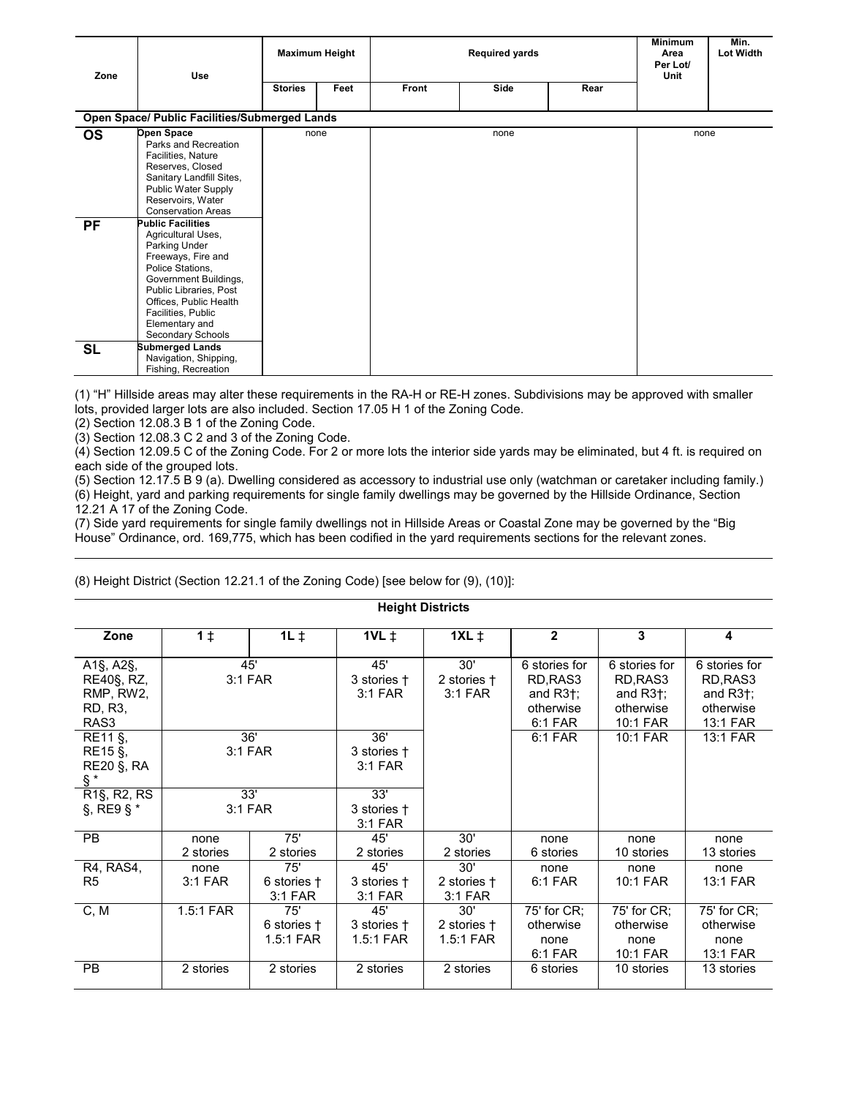| Zone      | <b>Use</b>                                                                                                                                                                                                                                          |                | <b>Maximum Height</b> |       | <b>Required yards</b> |      | <b>Minimum</b><br>Area<br>Per Lot/<br>Unit | Min.<br><b>Lot Width</b> |
|-----------|-----------------------------------------------------------------------------------------------------------------------------------------------------------------------------------------------------------------------------------------------------|----------------|-----------------------|-------|-----------------------|------|--------------------------------------------|--------------------------|
|           |                                                                                                                                                                                                                                                     | <b>Stories</b> | Feet                  | Front | Side                  | Rear |                                            |                          |
|           | Open Space/ Public Facilities/Submerged Lands                                                                                                                                                                                                       |                |                       |       |                       |      |                                            |                          |
| <b>OS</b> | Open Space<br>Parks and Recreation<br>Facilities, Nature<br>Reserves, Closed<br>Sanitary Landfill Sites,<br>Public Water Supply<br>Reservoirs, Water<br><b>Conservation Areas</b>                                                                   |                | none                  |       | none                  |      | none                                       |                          |
| <b>PF</b> | <b>Public Facilities</b><br>Agricultural Uses,<br>Parking Under<br>Freeways, Fire and<br>Police Stations,<br>Government Buildings,<br>Public Libraries, Post<br>Offices, Public Health<br>Facilities, Public<br>Elementary and<br>Secondary Schools |                |                       |       |                       |      |                                            |                          |
| <b>SL</b> | <b>Submerged Lands</b><br>Navigation, Shipping,<br>Fishing, Recreation                                                                                                                                                                              |                |                       |       |                       |      |                                            |                          |

(1) "H" Hillside areas may alter these requirements in the RA-H or RE-H zones. Subdivisions may be approved with smaller lots, provided larger lots are also included. Section 17.05 H 1 of the Zoning Code.

(2) Section 12.08.3 B 1 of the Zoning Code.

(3) Section 12.08.3 C 2 and 3 of the Zoning Code.

(4) Section 12.09.5 C of the Zoning Code. For 2 or more lots the interior side yards may be eliminated, but 4 ft. is required on each side of the grouped lots.

(5) Section 12.17.5 B 9 (a). Dwelling considered as accessory to industrial use only (watchman or caretaker including family.) (6) Height, yard and parking requirements for single family dwellings may be governed by the Hillside Ordinance, Section 12.21 A 17 of the Zoning Code.

Height Districts

(7) Side yard requirements for single family dwellings not in Hillside Areas or Coastal Zone may be governed by the "Big House" Ordinance, ord. 169,775, which has been codified in the yard requirements sections for the relevant zones.

|                                                                          |                   |                                   |                                      | HERHIL DISTING                    |                                                                                   |                                                                                     |                                                                                     |
|--------------------------------------------------------------------------|-------------------|-----------------------------------|--------------------------------------|-----------------------------------|-----------------------------------------------------------------------------------|-------------------------------------------------------------------------------------|-------------------------------------------------------------------------------------|
| Zone                                                                     | $1\ddagger$       | $1L \ddagger$                     | $1VL \downarrow$                     | $1XL \neq$                        | $\overline{2}$                                                                    | 3                                                                                   | $\overline{\mathbf{4}}$                                                             |
| A1§, A2§,<br>RE40§, RZ,<br>RMP, RW2,<br>RD, R3,<br>RAS3<br>RE11 §,       |                   | 45'<br>3:1 FAR<br>36'             | 45'<br>3 stories †<br>3:1 FAR<br>36' | 30'<br>2 stories †<br>$3:1$ FAR   | 6 stories for<br>RD, RAS3<br>and $R3\dagger$ ;<br>otherwise<br>6:1 FAR<br>6:1 FAR | 6 stories for<br>RD, RAS3<br>and $R3\dagger$ ;<br>otherwise<br>10:1 FAR<br>10:1 FAR | 6 stories for<br>RD, RAS3<br>and $R3\dagger$ ;<br>otherwise<br>13:1 FAR<br>13:1 FAR |
| RE15 §,<br><b>RE20 §, RA</b><br>§*                                       |                   | 3:1 FAR                           | 3 stories †<br>3:1 FAR               |                                   |                                                                                   |                                                                                     |                                                                                     |
| R <sub>1</sub> §, R <sub>2</sub> , R <sub>S</sub><br>$\S$ , RE9 $\S$ $*$ |                   | 33'<br>3:1 FAR                    | 33'<br>3 stories †<br>$3:1$ FAR      |                                   |                                                                                   |                                                                                     |                                                                                     |
| <b>PB</b>                                                                | none<br>2 stories | 75'<br>2 stories                  | 45'<br>2 stories                     | 30'<br>2 stories                  | none<br>6 stories                                                                 | none<br>10 stories                                                                  | none<br>13 stories                                                                  |
| R4, RAS4,<br>R <sub>5</sub>                                              | none<br>$3:1$ FAR | 75'<br>6 stories +<br>3:1 FAR     | 45'<br>3 stories †<br>3:1 FAR        | 30'<br>2 stories †<br>$3:1$ FAR   | none<br>6:1 FAR                                                                   | none<br>10:1 FAR                                                                    | none<br>13:1 FAR                                                                    |
| C, M                                                                     | 1.5:1 FAR         | 75'<br>6 stories +<br>$1.5:1$ FAR | 45'<br>3 stories †<br>$1.5:1$ FAR    | 30'<br>2 stories +<br>$1.5:1$ FAR | 75' for CR;<br>otherwise<br>none<br>6:1 FAR                                       | 75' for CR;<br>otherwise<br>none<br>10:1 FAR                                        | 75' for CR;<br>otherwise<br>none<br>13:1 FAR                                        |
| <b>PB</b>                                                                | 2 stories         | 2 stories                         | 2 stories                            | 2 stories                         | 6 stories                                                                         | 10 stories                                                                          | 13 stories                                                                          |

## (8) Height District (Section 12.21.1 of the Zoning Code) [see below for (9), (10)]: